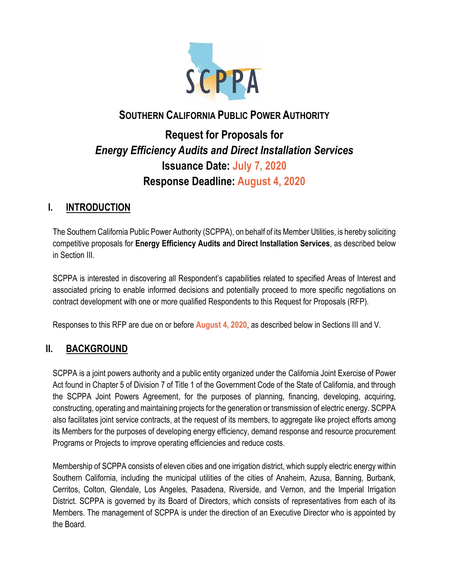

# **SOUTHERN CALIFORNIA PUBLIC POWER AUTHORITY**

# **Request for Proposals for**  *Energy Efficiency Audits and Direct Installation Services* **Issuance Date: July 7, 2020 Response Deadline: August 4, 2020**

### **I. INTRODUCTION**

The Southern California Public Power Authority (SCPPA), on behalf of its Member Utilities, is hereby soliciting competitive proposals for **Energy Efficiency Audits and Direct Installation Services**, as described below in Section III.

SCPPA is interested in discovering all Respondent's capabilities related to specified Areas of Interest and associated pricing to enable informed decisions and potentially proceed to more specific negotiations on contract development with one or more qualified Respondents to this Request for Proposals (RFP).

Responses to this RFP are due on or before **August 4, 2020**, as described below in Sections III and V.

# **II. BACKGROUND**

SCPPA is a joint powers authority and a public entity organized under the California Joint Exercise of Power Act found in Chapter 5 of Division 7 of Title 1 of the Government Code of the State of California, and through the SCPPA Joint Powers Agreement, for the purposes of planning, financing, developing, acquiring, constructing, operating and maintaining projects for the generation or transmission of electric energy. SCPPA also facilitates joint service contracts, at the request of its members, to aggregate like project efforts among its Members for the purposes of developing energy efficiency, demand response and resource procurement Programs or Projects to improve operating efficiencies and reduce costs.

Membership of SCPPA consists of eleven cities and one irrigation district, which supply electric energy within Southern California, including the municipal utilities of the cities of Anaheim, Azusa, Banning, Burbank, Cerritos, Colton, Glendale, Los Angeles, Pasadena, Riverside, and Vernon, and the Imperial Irrigation District. SCPPA is governed by its Board of Directors, which consists of representatives from each of its Members. The management of SCPPA is under the direction of an Executive Director who is appointed by the Board.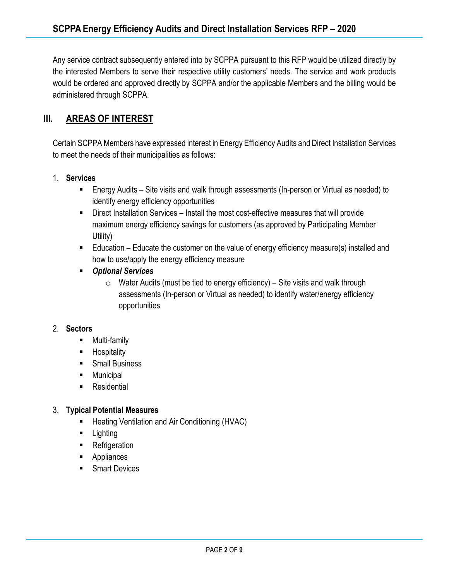Any service contract subsequently entered into by SCPPA pursuant to this RFP would be utilized directly by the interested Members to serve their respective utility customers' needs. The service and work products would be ordered and approved directly by SCPPA and/or the applicable Members and the billing would be administered through SCPPA.

### **III. AREAS OF INTEREST**

Certain SCPPA Members have expressed interest in Energy Efficiency Audits and Direct Installation Services to meet the needs of their municipalities as follows:

- 1. **Services**
	- Energy Audits Site visits and walk through assessments (In-person or Virtual as needed) to identify energy efficiency opportunities
	- Direct Installation Services Install the most cost-effective measures that will provide maximum energy efficiency savings for customers (as approved by Participating Member Utility)
	- Education Educate the customer on the value of energy efficiency measure(s) installed and how to use/apply the energy efficiency measure
	- *Optional Services*
		- $\circ$  Water Audits (must be tied to energy efficiency) Site visits and walk through assessments (In-person or Virtual as needed) to identify water/energy efficiency opportunities

#### 2. **Sectors**

- Multi-family
- Hospitality
- Small Business
- Municipal
- Residential

#### 3. **Typical Potential Measures**

- Heating Ventilation and Air Conditioning (HVAC)
- Lighting
- Refrigeration
- Appliances
- Smart Devices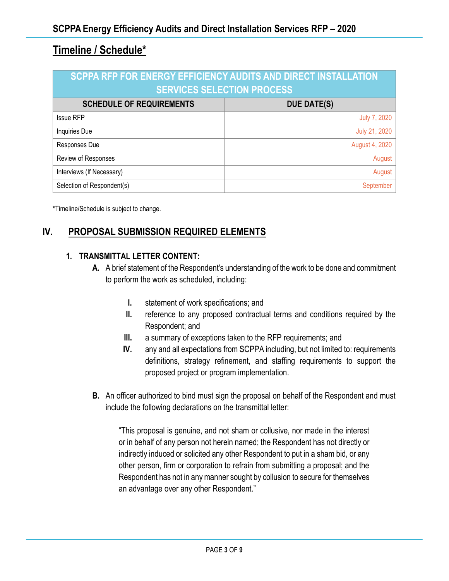# **Timeline / Schedule\***

| SCPPA RFP FOR ENERGY EFFICIENCY AUDITS AND DIRECT INSTALLATION<br><b>SERVICES SELECTION PROCESS</b> |                     |
|-----------------------------------------------------------------------------------------------------|---------------------|
| <b>SCHEDULE OF REQUIREMENTS</b>                                                                     | <b>DUE DATE(S)</b>  |
| <b>Issue RFP</b>                                                                                    | <b>July 7, 2020</b> |
| Inquiries Due                                                                                       | July 21, 2020       |
| Responses Due                                                                                       | August 4, 2020      |
| Review of Responses                                                                                 | August              |
| Interviews (If Necessary)                                                                           | August              |
| Selection of Respondent(s)                                                                          | September           |

**\***Timeline/Schedule is subject to change.

# **IV. PROPOSAL SUBMISSION REQUIRED ELEMENTS**

#### **1. TRANSMITTAL LETTER CONTENT:**

- **A.** A brief statement of the Respondent's understanding of the work to be done and commitment to perform the work as scheduled, including:
	- **I.** statement of work specifications; and
	- **II.** reference to any proposed contractual terms and conditions required by the Respondent; and
	- **III.** a summary of exceptions taken to the RFP requirements; and
	- **IV.** any and all expectations from SCPPA including, but not limited to: requirements definitions, strategy refinement, and staffing requirements to support the proposed project or program implementation.
- **B.** An officer authorized to bind must sign the proposal on behalf of the Respondent and must include the following declarations on the transmittal letter:

"This proposal is genuine, and not sham or collusive, nor made in the interest or in behalf of any person not herein named; the Respondent has not directly or indirectly induced or solicited any other Respondent to put in a sham bid, or any other person, firm or corporation to refrain from submitting a proposal; and the Respondent has not in any manner sought by collusion to secure for themselves an advantage over any other Respondent."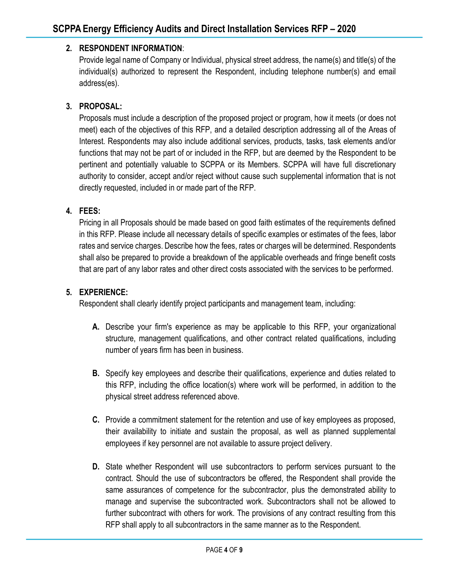### **2. RESPONDENT INFORMATION**:

Provide legal name of Company or Individual, physical street address, the name(s) and title(s) of the individual(s) authorized to represent the Respondent, including telephone number(s) and email address(es).

#### **3. PROPOSAL:**

Proposals must include a description of the proposed project or program, how it meets (or does not meet) each of the objectives of this RFP, and a detailed description addressing all of the Areas of Interest. Respondents may also include additional services, products, tasks, task elements and/or functions that may not be part of or included in the RFP, but are deemed by the Respondent to be pertinent and potentially valuable to SCPPA or its Members. SCPPA will have full discretionary authority to consider, accept and/or reject without cause such supplemental information that is not directly requested, included in or made part of the RFP.

#### **4. FEES:**

Pricing in all Proposals should be made based on good faith estimates of the requirements defined in this RFP. Please include all necessary details of specific examples or estimates of the fees, labor rates and service charges. Describe how the fees, rates or charges will be determined. Respondents shall also be prepared to provide a breakdown of the applicable overheads and fringe benefit costs that are part of any labor rates and other direct costs associated with the services to be performed.

#### **5. EXPERIENCE:**

Respondent shall clearly identify project participants and management team, including:

- **A.** Describe your firm's experience as may be applicable to this RFP, your organizational structure, management qualifications, and other contract related qualifications, including number of years firm has been in business.
- **B.** Specify key employees and describe their qualifications, experience and duties related to this RFP, including the office location(s) where work will be performed, in addition to the physical street address referenced above.
- **C.** Provide a commitment statement for the retention and use of key employees as proposed, their availability to initiate and sustain the proposal, as well as planned supplemental employees if key personnel are not available to assure project delivery.
- **D.** State whether Respondent will use subcontractors to perform services pursuant to the contract. Should the use of subcontractors be offered, the Respondent shall provide the same assurances of competence for the subcontractor, plus the demonstrated ability to manage and supervise the subcontracted work. Subcontractors shall not be allowed to further subcontract with others for work. The provisions of any contract resulting from this RFP shall apply to all subcontractors in the same manner as to the Respondent.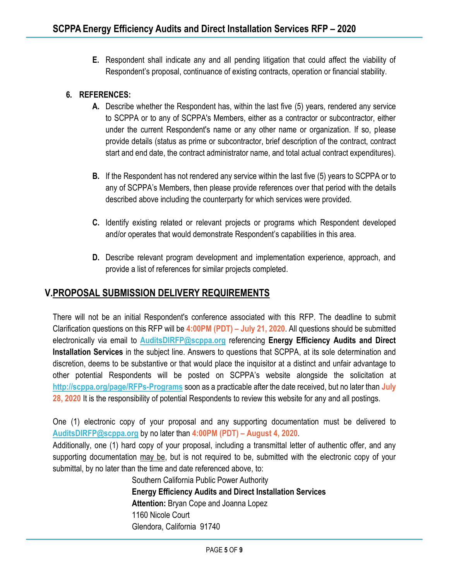**E.** Respondent shall indicate any and all pending litigation that could affect the viability of Respondent's proposal, continuance of existing contracts, operation or financial stability.

#### **6. REFERENCES:**

- **A.** Describe whether the Respondent has, within the last five (5) years, rendered any service to SCPPA or to any of SCPPA's Members, either as a contractor or subcontractor, either under the current Respondent's name or any other name or organization. If so, please provide details (status as prime or subcontractor, brief description of the contract, contract start and end date, the contract administrator name, and total actual contract expenditures).
- **B.** If the Respondent has not rendered any service within the last five (5) years to SCPPA or to any of SCPPA's Members, then please provide references over that period with the details described above including the counterparty for which services were provided.
- **C.** Identify existing related or relevant projects or programs which Respondent developed and/or operates that would demonstrate Respondent's capabilities in this area.
- **D.** Describe relevant program development and implementation experience, approach, and provide a list of references for similar projects completed.

### **V.PROPOSAL SUBMISSION DELIVERY REQUIREMENTS**

There will not be an initial Respondent's conference associated with this RFP. The deadline to submit Clarification questions on this RFP will be **4:00PM (PDT) – July 21, 2020**. All questions should be submitted electronically via email to **[AuditsDIRFP@scppa.org](mailto:AuditsDIRFP@scppa.org)** referencing **Energy Efficiency Audits and Direct Installation Services** in the subject line. Answers to questions that SCPPA, at its sole determination and discretion, deems to be substantive or that would place the inquisitor at a distinct and unfair advantage to other potential Respondents will be posted on SCPPA's website alongside the solicitation at **<http://scppa.org/page/RFPs-Programs>** soon as a practicable after the date received, but no later than **July 28, 2020** It is the responsibility of potential Respondents to review this website for any and all postings.

One (1) electronic copy of your proposal and any supporting documentation must be delivered to **[AuditsDIRFP@scppa.org](mailto:AuditsDIRFP@scppa.org)** by no later than **4:00PM (PDT) – August 4, 2020**.

Additionally, one (1) hard copy of your proposal, including a transmittal letter of authentic offer, and any supporting documentation may be, but is not required to be, submitted with the electronic copy of your submittal, by no later than the time and date referenced above, to:

> Southern California Public Power Authority **Energy Efficiency Audits and Direct Installation Services Attention:** Bryan Cope and Joanna Lopez 1160 Nicole Court Glendora, California 91740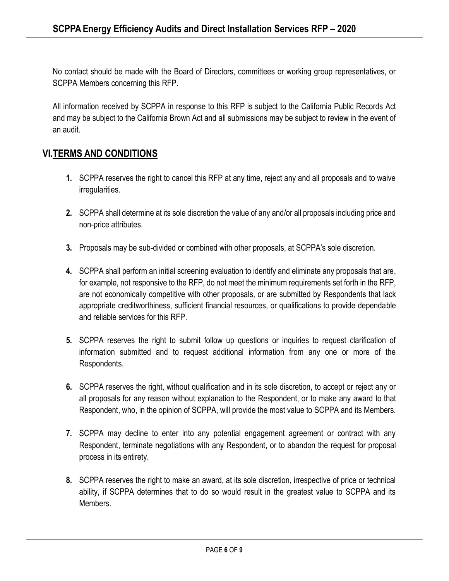No contact should be made with the Board of Directors, committees or working group representatives, or SCPPA Members concerning this RFP.

All information received by SCPPA in response to this RFP is subject to the California Public Records Act and may be subject to the California Brown Act and all submissions may be subject to review in the event of an audit.

### **VI.TERMS AND CONDITIONS**

- **1.** SCPPA reserves the right to cancel this RFP at any time, reject any and all proposals and to waive irregularities.
- **2.** SCPPA shall determine at its sole discretion the value of any and/or all proposals including price and non-price attributes.
- **3.** Proposals may be sub-divided or combined with other proposals, at SCPPA's sole discretion.
- **4.** SCPPA shall perform an initial screening evaluation to identify and eliminate any proposals that are, for example, not responsive to the RFP, do not meet the minimum requirements set forth in the RFP, are not economically competitive with other proposals, or are submitted by Respondents that lack appropriate creditworthiness, sufficient financial resources, or qualifications to provide dependable and reliable services for this RFP.
- **5.** SCPPA reserves the right to submit follow up questions or inquiries to request clarification of information submitted and to request additional information from any one or more of the Respondents.
- **6.** SCPPA reserves the right, without qualification and in its sole discretion, to accept or reject any or all proposals for any reason without explanation to the Respondent, or to make any award to that Respondent, who, in the opinion of SCPPA, will provide the most value to SCPPA and its Members.
- **7.** SCPPA may decline to enter into any potential engagement agreement or contract with any Respondent, terminate negotiations with any Respondent, or to abandon the request for proposal process in its entirety.
- **8.** SCPPA reserves the right to make an award, at its sole discretion, irrespective of price or technical ability, if SCPPA determines that to do so would result in the greatest value to SCPPA and its Members.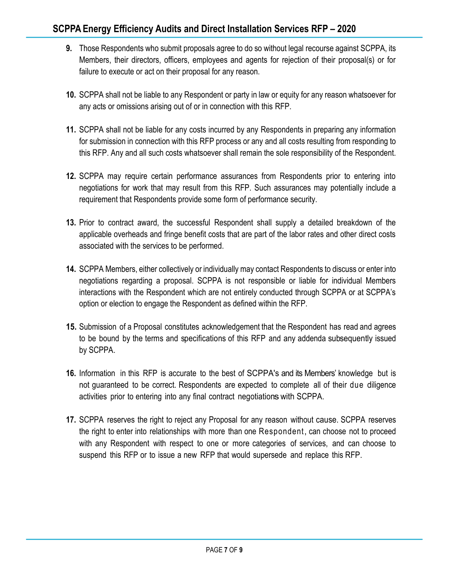- **9.** Those Respondents who submit proposals agree to do so without legal recourse against SCPPA, its Members, their directors, officers, employees and agents for rejection of their proposal(s) or for failure to execute or act on their proposal for any reason.
- **10.** SCPPA shall not be liable to any Respondent or party in law or equity for any reason whatsoever for any acts or omissions arising out of or in connection with this RFP.
- **11.** SCPPA shall not be liable for any costs incurred by any Respondents in preparing any information for submission in connection with this RFP process or any and all costs resulting from responding to this RFP. Any and all such costs whatsoever shall remain the sole responsibility of the Respondent.
- **12.** SCPPA may require certain performance assurances from Respondents prior to entering into negotiations for work that may result from this RFP. Such assurances may potentially include a requirement that Respondents provide some form of performance security.
- **13.** Prior to contract award, the successful Respondent shall supply a detailed breakdown of the applicable overheads and fringe benefit costs that are part of the labor rates and other direct costs associated with the services to be performed.
- **14.** SCPPA Members, either collectively or individually may contact Respondents to discuss or enter into negotiations regarding a proposal. SCPPA is not responsible or liable for individual Members interactions with the Respondent which are not entirely conducted through SCPPA or at SCPPA's option or election to engage the Respondent as defined within the RFP.
- **15.** Submission of a Proposal constitutes acknowledgement that the Respondent has read and agrees to be bound by the terms and specifications of this RFP and any addenda subsequently issued by SCPPA.
- **16.** Information in this RFP is accurate to the best of SCPPA's and its Members' knowledge but is not guaranteed to be correct. Respondents are expected to complete all of their due diligence activities prior to entering into any final contract negotiationswith SCPPA.
- **17.** SCPPA reserves the right to reject any Proposal for any reason without cause. SCPPA reserves the right to enter into relationships with more than one Respondent, can choose not to proceed with any Respondent with respect to one or more categories of services, and can choose to suspend this RFP or to issue a new RFP that would supersede and replace this RFP.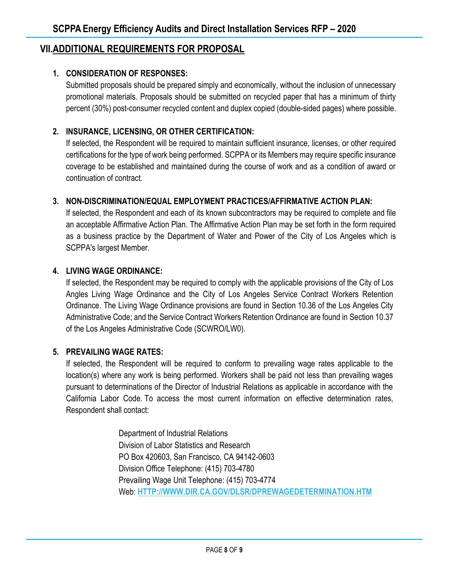### **VII.ADDITIONAL REQUIREMENTS FOR PROPOSAL**

#### **1. CONSIDERATION OF RESPONSES:**

Submitted proposals should be prepared simply and economically, without the inclusion of unnecessary promotional materials. Proposals should be submitted on recycled paper that has a minimum of thirty percent (30%) post-consumer recycled content and duplex copied (double-sided pages) where possible.

#### **2. INSURANCE, LICENSING, OR OTHER CERTIFICATION:**

If selected, the Respondent will be required to maintain sufficient insurance, licenses, or other required certifications for the type of work being performed. SCPPA or its Members may require specific insurance coverage to be established and maintained during the course of work and as a condition of award or continuation of contract.

#### **3. NON-DISCRIMINATION/EQUAL EMPLOYMENT PRACTICES/AFFIRMATIVE ACTION PLAN:**

If selected, the Respondent and each of its known subcontractors may be required to complete and file an acceptable Affirmative Action Plan. The Affirmative Action Plan may be set forth in the form required as a business practice by the Department of Water and Power of the City of Los Angeles which is SCPPA's largest Member.

#### **4. LIVING WAGE ORDINANCE:**

If selected, the Respondent may be required to comply with the applicable provisions of the City of Los Angles Living Wage Ordinance and the City of Los Angeles Service Contract Workers Retention Ordinance. The Living Wage Ordinance provisions are found in Section 10.36 of the Los Angeles City Administrative Code; and the Service Contract Workers Retention Ordinance are found in Section 10.37 of the Los Angeles Administrative Code (SCWRO/LW0).

#### **5. PREVAILING WAGE RATES:**

If selected, the Respondent will be required to conform to prevailing wage rates applicable to the location(s) where any work is being performed. Workers shall be paid not less than prevailing wages pursuant to determinations of the Director of Industrial Relations as applicable in accordance with the California Labor Code. To access the most current information on effective determination rates, Respondent shall contact:

> Department of Industrial Relations Division of Labor Statistics and Research PO Box 420603, San Francisco, CA 94142-0603 Division Office Telephone: (415) 703-4780 Prevailing Wage Unit Telephone: (415) 703-4774 Web: **[HTTP://WWW.DIR.CA.GOV/DLSR/DPREWAGEDETERMINATION.HTM](http://www.dir.ca.gov/dlsr/DPreWageDetermination.htm)**